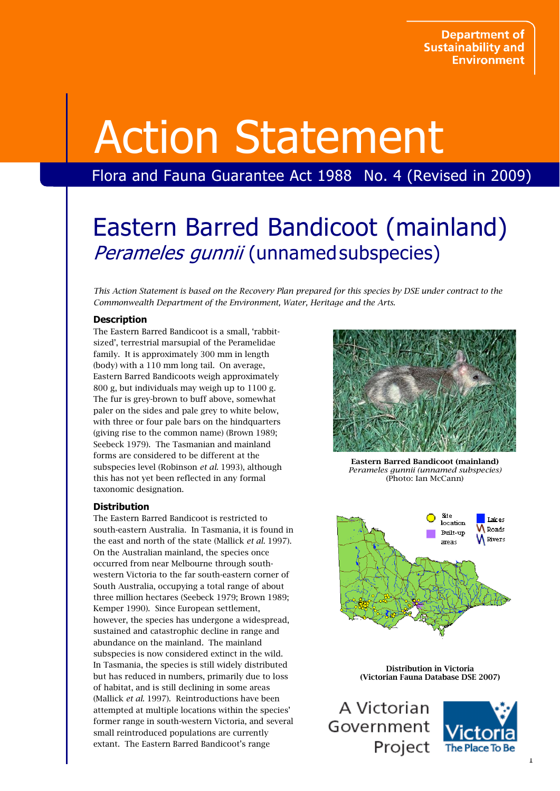# Action Statement

# Flora and Fauna Guarantee Act 1988 No. 4 (Revised in 2009)

# Eastern Barred Bandicoot (mainland) Perameles gunnii (unnamed subspecies)

This Action Statement is based on the Recovery Plan prepared for this species by DSE under contract to the Commonwealth Department of the Environment, Water, Heritage and the Arts.

# **Description**

The Eastern Barred Bandicoot is a small, 'rabbitsized', terrestrial marsupial of the Peramelidae family. It is approximately 300 mm in length (body) with a 110 mm long tail. On average, Eastern Barred Bandicoots weigh approximately 800 g, but individuals may weigh up to 1100 g. The fur is grey-brown to buff above, somewhat paler on the sides and pale grey to white below, with three or four pale bars on the hindquarters (giving rise to the common name) (Brown 1989; Seebeck 1979). The Tasmanian and mainland forms are considered to be different at the subspecies level (Robinson et al. 1993), although this has not yet been reflected in any formal taxonomic designation.

# **Distribution**

The Eastern Barred Bandicoot is restricted to south-eastern Australia. In Tasmania, it is found in the east and north of the state (Mallick et al. 1997). On the Australian mainland, the species once occurred from near Melbourne through southwestern Victoria to the far south-eastern corner of South Australia, occupying a total range of about three million hectares (Seebeck 1979; Brown 1989; Kemper 1990). Since European settlement, however, the species has undergone a widespread, sustained and catastrophic decline in range and abundance on the mainland. The mainland subspecies is now considered extinct in the wild. In Tasmania, the species is still widely distributed but has reduced in numbers, primarily due to loss of habitat, and is still declining in some areas (Mallick et al. 1997). Reintroductions have been attempted at multiple locations within the species' former range in south-western Victoria, and several small reintroduced populations are currently extant. The Eastern Barred Bandicoot's range



Eastern Barred Bandicoot (mainland) Perameles gunnii (unnamed subspecies) (Photo: Ian McCann)



Distribution in Victoria (Victorian Fauna Database DSE 2007)

A Victorian Government Project

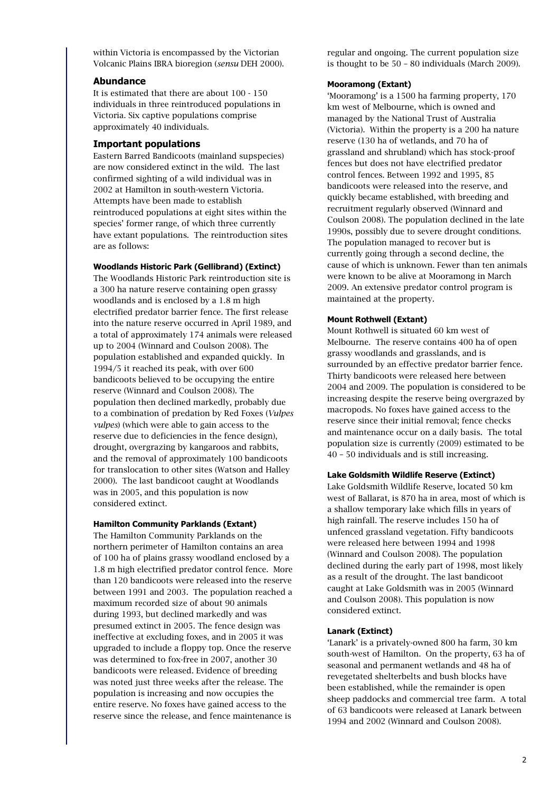within Victoria is encompassed by the Victorian Volcanic Plains IBRA bioregion (sensu DEH 2000).

#### Abundance

It is estimated that there are about 100 - 150 individuals in three reintroduced populations in Victoria. Six captive populations comprise approximately 40 individuals.

# Important populations

Eastern Barred Bandicoots (mainland supspecies) are now considered extinct in the wild. The last confirmed sighting of a wild individual was in 2002 at Hamilton in south-western Victoria. Attempts have been made to establish reintroduced populations at eight sites within the species' former range, of which three currently have extant populations. The reintroduction sites are as follows:

#### Woodlands Historic Park (Gellibrand) (Extinct)

The Woodlands Historic Park reintroduction site is a 300 ha nature reserve containing open grassy woodlands and is enclosed by a 1.8 m high electrified predator barrier fence. The first release into the nature reserve occurred in April 1989, and a total of approximately 174 animals were released up to 2004 (Winnard and Coulson 2008). The population established and expanded quickly. In 1994/5 it reached its peak, with over 600 bandicoots believed to be occupying the entire reserve (Winnard and Coulson 2008). The population then declined markedly, probably due to a combination of predation by Red Foxes (Vulpes vulpes) (which were able to gain access to the reserve due to deficiencies in the fence design), drought, overgrazing by kangaroos and rabbits, and the removal of approximately 100 bandicoots for translocation to other sites (Watson and Halley 2000). The last bandicoot caught at Woodlands was in 2005, and this population is now considered extinct.

#### Hamilton Community Parklands (Extant)

The Hamilton Community Parklands on the northern perimeter of Hamilton contains an area of 100 ha of plains grassy woodland enclosed by a 1.8 m high electrified predator control fence. More than 120 bandicoots were released into the reserve between 1991 and 2003. The population reached a maximum recorded size of about 90 animals during 1993, but declined markedly and was presumed extinct in 2005. The fence design was ineffective at excluding foxes, and in 2005 it was upgraded to include a floppy top. Once the reserve was determined to fox-free in 2007, another 30 bandicoots were released. Evidence of breeding was noted just three weeks after the release. The population is increasing and now occupies the entire reserve. No foxes have gained access to the reserve since the release, and fence maintenance is

regular and ongoing. The current population size is thought to be 50 – 80 individuals (March 2009).

# Mooramong (Extant)

'Mooramong' is a 1500 ha farming property, 170 km west of Melbourne, which is owned and managed by the National Trust of Australia (Victoria). Within the property is a 200 ha nature reserve (130 ha of wetlands, and 70 ha of grassland and shrubland) which has stock-proof fences but does not have electrified predator control fences. Between 1992 and 1995, 85 bandicoots were released into the reserve, and quickly became established, with breeding and recruitment regularly observed (Winnard and Coulson 2008). The population declined in the late 1990s, possibly due to severe drought conditions. The population managed to recover but is currently going through a second decline, the cause of which is unknown. Fewer than ten animals were known to be alive at Mooramong in March 2009. An extensive predator control program is maintained at the property.

# Mount Rothwell (Extant)

Mount Rothwell is situated 60 km west of Melbourne. The reserve contains 400 ha of open grassy woodlands and grasslands, and is surrounded by an effective predator barrier fence. Thirty bandicoots were released here between 2004 and 2009. The population is considered to be increasing despite the reserve being overgrazed by macropods. No foxes have gained access to the reserve since their initial removal; fence checks and maintenance occur on a daily basis. The total population size is currently (2009) estimated to be 40 – 50 individuals and is still increasing.

# Lake Goldsmith Wildlife Reserve (Extinct)

Lake Goldsmith Wildlife Reserve, located 50 km west of Ballarat, is 870 ha in area, most of which is a shallow temporary lake which fills in years of high rainfall. The reserve includes 150 ha of unfenced grassland vegetation. Fifty bandicoots were released here between 1994 and 1998 (Winnard and Coulson 2008). The population declined during the early part of 1998, most likely as a result of the drought. The last bandicoot caught at Lake Goldsmith was in 2005 (Winnard and Coulson 2008). This population is now considered extinct.

# Lanark (Extinct)

'Lanark' is a privately-owned 800 ha farm, 30 km south-west of Hamilton. On the property, 63 ha of seasonal and permanent wetlands and 48 ha of revegetated shelterbelts and bush blocks have been established, while the remainder is open sheep paddocks and commercial tree farm. A total of 63 bandicoots were released at Lanark between 1994 and 2002 (Winnard and Coulson 2008).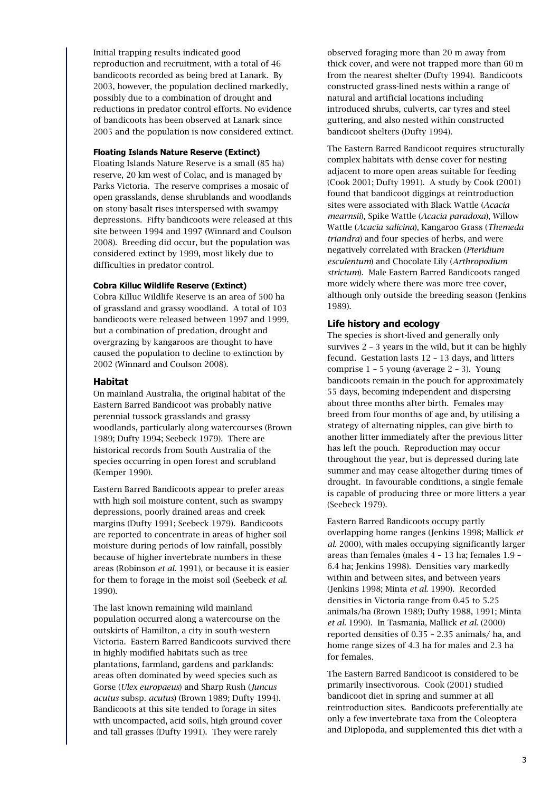Initial trapping results indicated good reproduction and recruitment, with a total of 46 bandicoots recorded as being bred at Lanark. By 2003, however, the population declined markedly, possibly due to a combination of drought and reductions in predator control efforts. No evidence of bandicoots has been observed at Lanark since 2005 and the population is now considered extinct.

#### Floating Islands Nature Reserve (Extinct)

Floating Islands Nature Reserve is a small (85 ha) reserve, 20 km west of Colac, and is managed by Parks Victoria. The reserve comprises a mosaic of open grasslands, dense shrublands and woodlands on stony basalt rises interspersed with swampy depressions. Fifty bandicoots were released at this site between 1994 and 1997 (Winnard and Coulson 2008). Breeding did occur, but the population was considered extinct by 1999, most likely due to difficulties in predator control.

# Cobra Killuc Wildlife Reserve (Extinct)

Cobra Killuc Wildlife Reserve is an area of 500 ha of grassland and grassy woodland. A total of 103 bandicoots were released between 1997 and 1999, but a combination of predation, drought and overgrazing by kangaroos are thought to have caused the population to decline to extinction by 2002 (Winnard and Coulson 2008).

#### Habitat

On mainland Australia, the original habitat of the Eastern Barred Bandicoot was probably native perennial tussock grasslands and grassy woodlands, particularly along watercourses (Brown 1989; Dufty 1994; Seebeck 1979). There are historical records from South Australia of the species occurring in open forest and scrubland (Kemper 1990).

Eastern Barred Bandicoots appear to prefer areas with high soil moisture content, such as swampy depressions, poorly drained areas and creek margins (Dufty 1991; Seebeck 1979). Bandicoots are reported to concentrate in areas of higher soil moisture during periods of low rainfall, possibly because of higher invertebrate numbers in these areas (Robinson et al. 1991), or because it is easier for them to forage in the moist soil (Seebeck et al. 1990).

The last known remaining wild mainland population occurred along a watercourse on the outskirts of Hamilton, a city in south-western Victoria. Eastern Barred Bandicoots survived there in highly modified habitats such as tree plantations, farmland, gardens and parklands: areas often dominated by weed species such as Gorse (Ulex europaeus) and Sharp Rush (Juncus acutus subsp. acutus) (Brown 1989; Dufty 1994). Bandicoots at this site tended to forage in sites with uncompacted, acid soils, high ground cover and tall grasses (Dufty 1991). They were rarely

observed foraging more than 20 m away from thick cover, and were not trapped more than 60 m from the nearest shelter (Dufty 1994). Bandicoots constructed grass-lined nests within a range of natural and artificial locations including introduced shrubs, culverts, car tyres and steel guttering, and also nested within constructed bandicoot shelters (Dufty 1994).

The Eastern Barred Bandicoot requires structurally complex habitats with dense cover for nesting adjacent to more open areas suitable for feeding (Cook 2001; Dufty 1991). A study by Cook (2001) found that bandicoot diggings at reintroduction sites were associated with Black Wattle (Acacia mearnsii), Spike Wattle (Acacia paradoxa), Willow Wattle (Acacia salicina), Kangaroo Grass (Themeda triandra) and four species of herbs, and were negatively correlated with Bracken (Pteridium esculentum) and Chocolate Lily (Arthropodium strictum). Male Eastern Barred Bandicoots ranged more widely where there was more tree cover, although only outside the breeding season (Jenkins 1989).

# Life history and ecology

The species is short-lived and generally only survives 2 – 3 years in the wild, but it can be highly fecund. Gestation lasts 12 – 13 days, and litters comprise 1 – 5 young (average 2 – 3). Young bandicoots remain in the pouch for approximately 55 days, becoming independent and dispersing about three months after birth. Females may breed from four months of age and, by utilising a strategy of alternating nipples, can give birth to another litter immediately after the previous litter has left the pouch. Reproduction may occur throughout the year, but is depressed during late summer and may cease altogether during times of drought. In favourable conditions, a single female is capable of producing three or more litters a year (Seebeck 1979).

Eastern Barred Bandicoots occupy partly overlapping home ranges (Jenkins 1998; Mallick et al. 2000), with males occupying significantly larger areas than females (males 4 – 13 ha; females 1.9 – 6.4 ha; Jenkins 1998). Densities vary markedly within and between sites, and between years (Jenkins 1998; Minta et al. 1990). Recorded densities in Victoria range from 0.45 to 5.25 animals/ha (Brown 1989; Dufty 1988, 1991; Minta et al. 1990). In Tasmania, Mallick et al. (2000) reported densities of 0.35 – 2.35 animals/ ha, and home range sizes of 4.3 ha for males and 2.3 ha for females.

The Eastern Barred Bandicoot is considered to be primarily insectivorous. Cook (2001) studied bandicoot diet in spring and summer at all reintroduction sites. Bandicoots preferentially ate only a few invertebrate taxa from the Coleoptera and Diplopoda, and supplemented this diet with a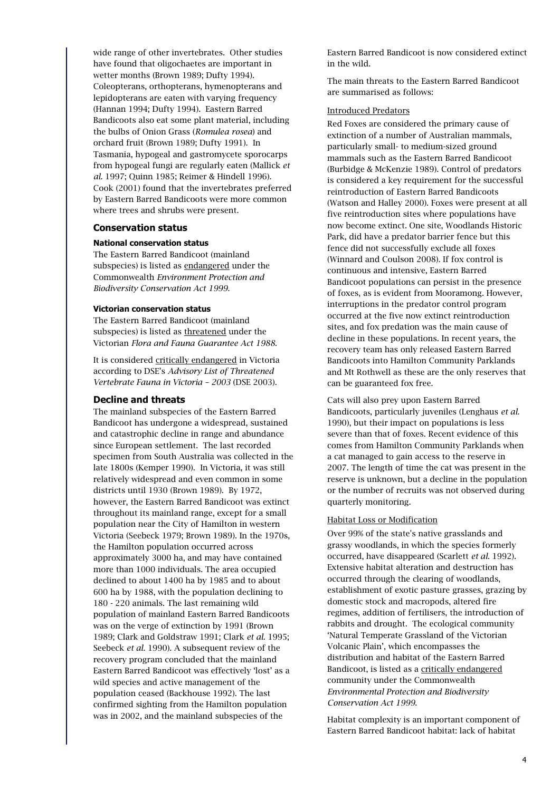wide range of other invertebrates. Other studies have found that oligochaetes are important in wetter months (Brown 1989; Dufty 1994). Coleopterans, orthopterans, hymenopterans and lepidopterans are eaten with varying frequency (Hannan 1994; Dufty 1994). Eastern Barred Bandicoots also eat some plant material, including the bulbs of Onion Grass (Romulea rosea) and orchard fruit (Brown 1989; Dufty 1991). In Tasmania, hypogeal and gastromycete sporocarps from hypogeal fungi are regularly eaten (Mallick et al. 1997; Quinn 1985; Reimer & Hindell 1996). Cook (2001) found that the invertebrates preferred by Eastern Barred Bandicoots were more common where trees and shrubs were present.

#### Conservation status

#### National conservation status

The Eastern Barred Bandicoot (mainland subspecies) is listed as endangered under the Commonwealth Environment Protection and Biodiversity Conservation Act 1999.

#### Victorian conservation status

The Eastern Barred Bandicoot (mainland subspecies) is listed as threatened under the Victorian Flora and Fauna Guarantee Act 1988.

It is considered critically endangered in Victoria according to DSE's Advisory List of Threatened Vertebrate Fauna in Victoria – 2003 (DSE 2003).

#### Decline and threats

The mainland subspecies of the Eastern Barred Bandicoot has undergone a widespread, sustained and catastrophic decline in range and abundance since European settlement. The last recorded specimen from South Australia was collected in the late 1800s (Kemper 1990). In Victoria, it was still relatively widespread and even common in some districts until 1930 (Brown 1989). By 1972, however, the Eastern Barred Bandicoot was extinct throughout its mainland range, except for a small population near the City of Hamilton in western Victoria (Seebeck 1979; Brown 1989). In the 1970s, the Hamilton population occurred across approximately 3000 ha, and may have contained more than 1000 individuals. The area occupied declined to about 1400 ha by 1985 and to about 600 ha by 1988, with the population declining to 180 - 220 animals. The last remaining wild population of mainland Eastern Barred Bandicoots was on the verge of extinction by 1991 (Brown 1989; Clark and Goldstraw 1991; Clark et al. 1995; Seebeck et al. 1990). A subsequent review of the recovery program concluded that the mainland Eastern Barred Bandicoot was effectively 'lost' as a wild species and active management of the population ceased (Backhouse 1992). The last confirmed sighting from the Hamilton population was in 2002, and the mainland subspecies of the

Eastern Barred Bandicoot is now considered extinct in the wild.

The main threats to the Eastern Barred Bandicoot are summarised as follows:

# Introduced Predators

Red Foxes are considered the primary cause of extinction of a number of Australian mammals, particularly small- to medium-sized ground mammals such as the Eastern Barred Bandicoot (Burbidge & McKenzie 1989). Control of predators is considered a key requirement for the successful reintroduction of Eastern Barred Bandicoots (Watson and Halley 2000). Foxes were present at all five reintroduction sites where populations have now become extinct. One site, Woodlands Historic Park, did have a predator barrier fence but this fence did not successfully exclude all foxes (Winnard and Coulson 2008). If fox control is continuous and intensive, Eastern Barred Bandicoot populations can persist in the presence of foxes, as is evident from Mooramong. However, interruptions in the predator control program occurred at the five now extinct reintroduction sites, and fox predation was the main cause of decline in these populations. In recent years, the recovery team has only released Eastern Barred Bandicoots into Hamilton Community Parklands and Mt Rothwell as these are the only reserves that can be guaranteed fox free.

Cats will also prey upon Eastern Barred Bandicoots, particularly juveniles (Lenghaus et al. 1990), but their impact on populations is less severe than that of foxes. Recent evidence of this comes from Hamilton Community Parklands when a cat managed to gain access to the reserve in 2007. The length of time the cat was present in the reserve is unknown, but a decline in the population or the number of recruits was not observed during quarterly monitoring.

#### Habitat Loss or Modification

Over 99% of the state's native grasslands and grassy woodlands, in which the species formerly occurred, have disappeared (Scarlett et al. 1992). Extensive habitat alteration and destruction has occurred through the clearing of woodlands, establishment of exotic pasture grasses, grazing by domestic stock and macropods, altered fire regimes, addition of fertilisers, the introduction of rabbits and drought. The ecological community 'Natural Temperate Grassland of the Victorian Volcanic Plain', which encompasses the distribution and habitat of the Eastern Barred Bandicoot, is listed as a critically endangered community under the Commonwealth Environmental Protection and Biodiversity Conservation Act 1999.

Habitat complexity is an important component of Eastern Barred Bandicoot habitat: lack of habitat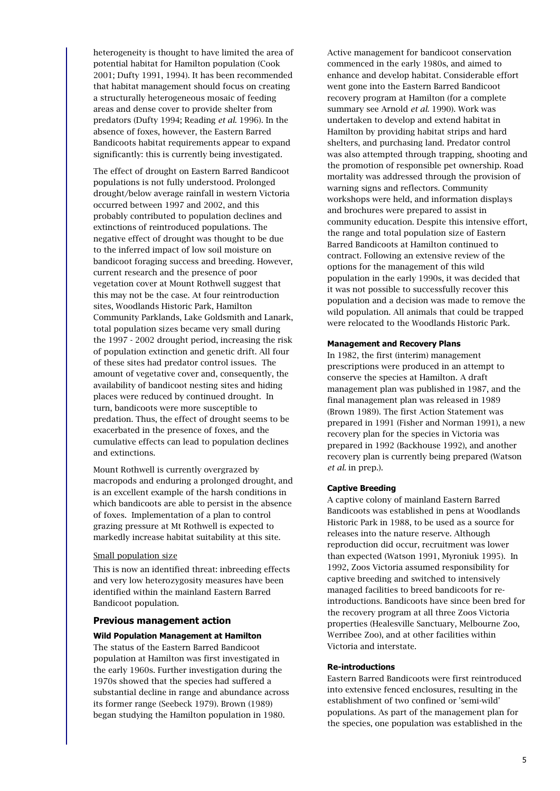heterogeneity is thought to have limited the area of potential habitat for Hamilton population (Cook 2001; Dufty 1991, 1994). It has been recommended that habitat management should focus on creating a structurally heterogeneous mosaic of feeding areas and dense cover to provide shelter from predators (Dufty 1994; Reading et al. 1996). In the absence of foxes, however, the Eastern Barred Bandicoots habitat requirements appear to expand significantly: this is currently being investigated.

The effect of drought on Eastern Barred Bandicoot populations is not fully understood. Prolonged drought/below average rainfall in western Victoria occurred between 1997 and 2002, and this probably contributed to population declines and extinctions of reintroduced populations. The negative effect of drought was thought to be due to the inferred impact of low soil moisture on bandicoot foraging success and breeding. However, current research and the presence of poor vegetation cover at Mount Rothwell suggest that this may not be the case. At four reintroduction sites, Woodlands Historic Park, Hamilton Community Parklands, Lake Goldsmith and Lanark, total population sizes became very small during the 1997 - 2002 drought period, increasing the risk of population extinction and genetic drift. All four of these sites had predator control issues. The amount of vegetative cover and, consequently, the availability of bandicoot nesting sites and hiding places were reduced by continued drought. In turn, bandicoots were more susceptible to predation. Thus, the effect of drought seems to be exacerbated in the presence of foxes, and the cumulative effects can lead to population declines and extinctions.

Mount Rothwell is currently overgrazed by macropods and enduring a prolonged drought, and is an excellent example of the harsh conditions in which bandicoots are able to persist in the absence of foxes. Implementation of a plan to control grazing pressure at Mt Rothwell is expected to markedly increase habitat suitability at this site.

#### Small population size

This is now an identified threat: inbreeding effects and very low heterozygosity measures have been identified within the mainland Eastern Barred Bandicoot population.

# Previous management action

#### Wild Population Management at Hamilton

The status of the Eastern Barred Bandicoot population at Hamilton was first investigated in the early 1960s. Further investigation during the 1970s showed that the species had suffered a substantial decline in range and abundance across its former range (Seebeck 1979). Brown (1989) began studying the Hamilton population in 1980.

Active management for bandicoot conservation commenced in the early 1980s, and aimed to enhance and develop habitat. Considerable effort went gone into the Eastern Barred Bandicoot recovery program at Hamilton (for a complete summary see Arnold et al. 1990). Work was undertaken to develop and extend habitat in Hamilton by providing habitat strips and hard shelters, and purchasing land. Predator control was also attempted through trapping, shooting and the promotion of responsible pet ownership. Road mortality was addressed through the provision of warning signs and reflectors. Community workshops were held, and information displays and brochures were prepared to assist in community education. Despite this intensive effort, the range and total population size of Eastern Barred Bandicoots at Hamilton continued to contract. Following an extensive review of the options for the management of this wild population in the early 1990s, it was decided that it was not possible to successfully recover this population and a decision was made to remove the wild population. All animals that could be trapped were relocated to the Woodlands Historic Park.

#### Management and Recovery Plans

In 1982, the first (interim) management prescriptions were produced in an attempt to conserve the species at Hamilton. A draft management plan was published in 1987, and the final management plan was released in 1989 (Brown 1989). The first Action Statement was prepared in 1991 (Fisher and Norman 1991), a new recovery plan for the species in Victoria was prepared in 1992 (Backhouse 1992), and another recovery plan is currently being prepared (Watson et al. in prep.).

#### Captive Breeding

A captive colony of mainland Eastern Barred Bandicoots was established in pens at Woodlands Historic Park in 1988, to be used as a source for releases into the nature reserve. Although reproduction did occur, recruitment was lower than expected (Watson 1991, Myroniuk 1995). In 1992, Zoos Victoria assumed responsibility for captive breeding and switched to intensively managed facilities to breed bandicoots for reintroductions. Bandicoots have since been bred for the recovery program at all three Zoos Victoria properties (Healesville Sanctuary, Melbourne Zoo, Werribee Zoo), and at other facilities within Victoria and interstate.

#### Re-introductions

Eastern Barred Bandicoots were first reintroduced into extensive fenced enclosures, resulting in the establishment of two confined or 'semi-wild' populations. As part of the management plan for the species, one population was established in the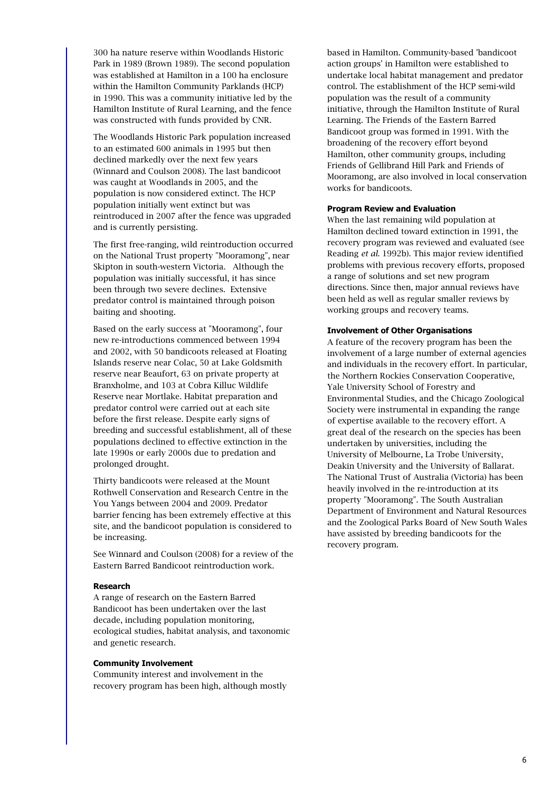300 ha nature reserve within Woodlands Historic Park in 1989 (Brown 1989). The second population was established at Hamilton in a 100 ha enclosure within the Hamilton Community Parklands (HCP) in 1990. This was a community initiative led by the Hamilton Institute of Rural Learning, and the fence was constructed with funds provided by CNR.

The Woodlands Historic Park population increased to an estimated 600 animals in 1995 but then declined markedly over the next few years (Winnard and Coulson 2008). The last bandicoot was caught at Woodlands in 2005, and the population is now considered extinct. The HCP population initially went extinct but was reintroduced in 2007 after the fence was upgraded and is currently persisting.

The first free-ranging, wild reintroduction occurred on the National Trust property "Mooramong", near Skipton in south-western Victoria. Although the population was initially successful, it has since been through two severe declines. Extensive predator control is maintained through poison baiting and shooting.

Based on the early success at "Mooramong", four new re-introductions commenced between 1994 and 2002, with 50 bandicoots released at Floating Islands reserve near Colac, 50 at Lake Goldsmith reserve near Beaufort, 63 on private property at Branxholme, and 103 at Cobra Killuc Wildlife Reserve near Mortlake. Habitat preparation and predator control were carried out at each site before the first release. Despite early signs of breeding and successful establishment, all of these populations declined to effective extinction in the late 1990s or early 2000s due to predation and prolonged drought.

Thirty bandicoots were released at the Mount Rothwell Conservation and Research Centre in the You Yangs between 2004 and 2009. Predator barrier fencing has been extremely effective at this site, and the bandicoot population is considered to be increasing.

See Winnard and Coulson (2008) for a review of the Eastern Barred Bandicoot reintroduction work.

#### Research

A range of research on the Eastern Barred Bandicoot has been undertaken over the last decade, including population monitoring, ecological studies, habitat analysis, and taxonomic and genetic research.

#### Community Involvement

Community interest and involvement in the recovery program has been high, although mostly

based in Hamilton. Community-based 'bandicoot action groups' in Hamilton were established to undertake local habitat management and predator control. The establishment of the HCP semi-wild population was the result of a community initiative, through the Hamilton Institute of Rural Learning. The Friends of the Eastern Barred Bandicoot group was formed in 1991. With the broadening of the recovery effort beyond Hamilton, other community groups, including Friends of Gellibrand Hill Park and Friends of Mooramong, are also involved in local conservation works for bandicoots.

#### Program Review and Evaluation

When the last remaining wild population at Hamilton declined toward extinction in 1991, the recovery program was reviewed and evaluated (see Reading et al. 1992b). This major review identified problems with previous recovery efforts, proposed a range of solutions and set new program directions. Since then, major annual reviews have been held as well as regular smaller reviews by working groups and recovery teams.

#### Involvement of Other Organisations

A feature of the recovery program has been the involvement of a large number of external agencies and individuals in the recovery effort. In particular, the Northern Rockies Conservation Cooperative, Yale University School of Forestry and Environmental Studies, and the Chicago Zoological Society were instrumental in expanding the range of expertise available to the recovery effort. A great deal of the research on the species has been undertaken by universities, including the University of Melbourne, La Trobe University, Deakin University and the University of Ballarat. The National Trust of Australia (Victoria) has been heavily involved in the re-introduction at its property "Mooramong". The South Australian Department of Environment and Natural Resources and the Zoological Parks Board of New South Wales have assisted by breeding bandicoots for the recovery program.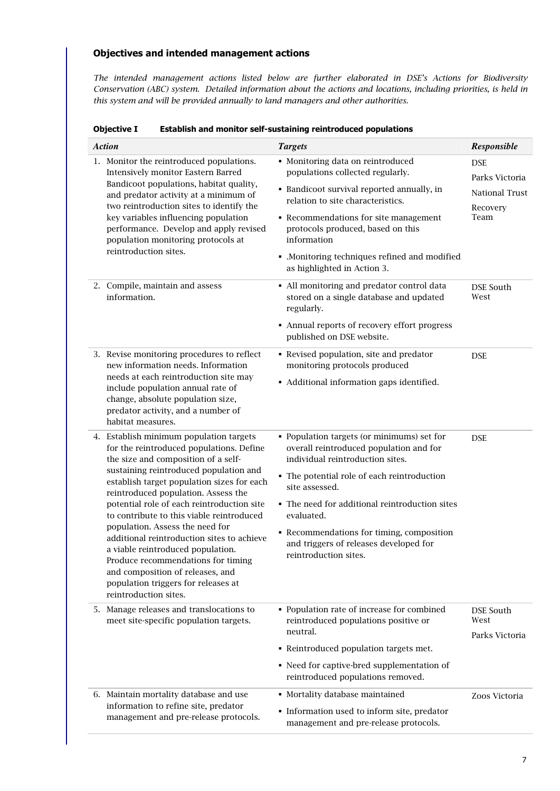# Objectives and intended management actions

The intended management actions listed below are further elaborated in DSE's Actions for Biodiversity Conservation (ABC) system. Detailed information about the actions and locations, including priorities, is held in this system and will be provided annually to land managers and other authorities.

| <b>Objective I</b> | Establish and monitor self-sustaining reintroduced populations |
|--------------------|----------------------------------------------------------------|
|                    |                                                                |

| <b>Action</b>                                                                                                                                                                                                                                                                                                                                                                                                                                                                                                                                                                                                        | <b>Targets</b>                                                                                                                                                                                                                                                                                                                                                             | Responsible                                                        |
|----------------------------------------------------------------------------------------------------------------------------------------------------------------------------------------------------------------------------------------------------------------------------------------------------------------------------------------------------------------------------------------------------------------------------------------------------------------------------------------------------------------------------------------------------------------------------------------------------------------------|----------------------------------------------------------------------------------------------------------------------------------------------------------------------------------------------------------------------------------------------------------------------------------------------------------------------------------------------------------------------------|--------------------------------------------------------------------|
| 1. Monitor the reintroduced populations.<br>Intensively monitor Eastern Barred<br>Bandicoot populations, habitat quality,<br>and predator activity at a minimum of<br>two reintroduction sites to identify the<br>key variables influencing population<br>performance. Develop and apply revised<br>population monitoring protocols at<br>reintroduction sites.                                                                                                                                                                                                                                                      | • Monitoring data on reintroduced<br>populations collected regularly.<br>• Bandicoot survival reported annually, in<br>relation to site characteristics.<br>• Recommendations for site management<br>protocols produced, based on this<br>information<br>• .Monitoring techniques refined and modified<br>as highlighted in Action 3.                                      | <b>DSE</b><br>Parks Victoria<br>National Trust<br>Recovery<br>Team |
| 2. Compile, maintain and assess<br>information.                                                                                                                                                                                                                                                                                                                                                                                                                                                                                                                                                                      | • All monitoring and predator control data<br>stored on a single database and updated<br>regularly.<br>• Annual reports of recovery effort progress<br>published on DSE website.                                                                                                                                                                                           | DSE South<br>West                                                  |
| 3. Revise monitoring procedures to reflect<br>new information needs. Information<br>needs at each reintroduction site may<br>include population annual rate of<br>change, absolute population size,<br>predator activity, and a number of<br>habitat measures.                                                                                                                                                                                                                                                                                                                                                       | • Revised population, site and predator<br>monitoring protocols produced<br>• Additional information gaps identified.                                                                                                                                                                                                                                                      | <b>DSE</b>                                                         |
| 4. Establish minimum population targets<br>for the reintroduced populations. Define<br>the size and composition of a self-<br>sustaining reintroduced population and<br>establish target population sizes for each<br>reintroduced population. Assess the<br>potential role of each reintroduction site<br>to contribute to this viable reintroduced<br>population. Assess the need for<br>additional reintroduction sites to achieve<br>a viable reintroduced population.<br>Produce recommendations for timing<br>and composition of releases, and<br>population triggers for releases at<br>reintroduction sites. | • Population targets (or minimums) set for<br>overall reintroduced population and for<br>individual reintroduction sites.<br>• The potential role of each reintroduction<br>site assessed.<br>• The need for additional reintroduction sites<br>evaluated.<br>• Recommendations for timing, composition<br>and triggers of releases developed for<br>reintroduction sites. | <b>DSE</b>                                                         |
| 5. Manage releases and translocations to<br>meet site-specific population targets.                                                                                                                                                                                                                                                                                                                                                                                                                                                                                                                                   | • Population rate of increase for combined<br>reintroduced populations positive or<br>neutral.<br>• Reintroduced population targets met.<br>• Need for captive-bred supplementation of<br>reintroduced populations removed.                                                                                                                                                | DSE South<br>West<br>Parks Victoria                                |
| 6. Maintain mortality database and use<br>information to refine site, predator<br>management and pre-release protocols.                                                                                                                                                                                                                                                                                                                                                                                                                                                                                              | • Mortality database maintained<br>• Information used to inform site, predator<br>management and pre-release protocols.                                                                                                                                                                                                                                                    | Zoos Victoria                                                      |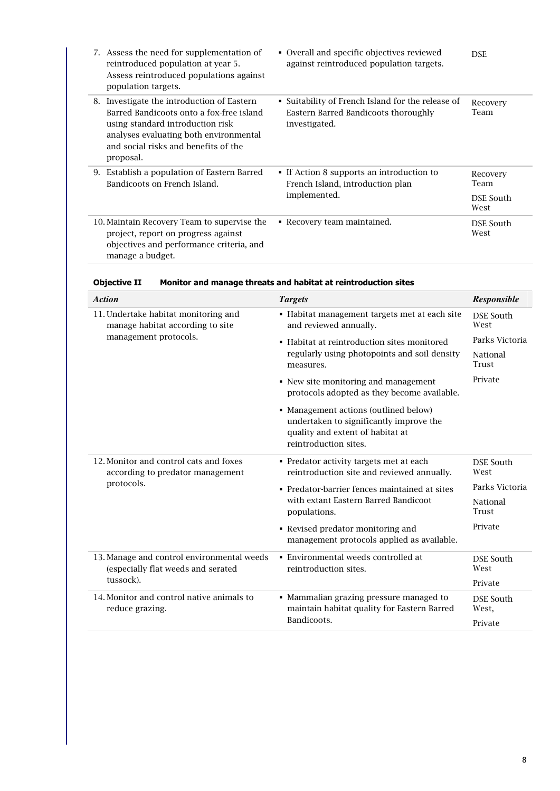|    | 7. Assess the need for supplementation of<br>reintroduced population at year 5.<br>Assess reintroduced populations against<br>population targets.                                                                      | • Overall and specific objectives reviewed<br>against reintroduced population targets.                     | <b>DSE</b>                            |
|----|------------------------------------------------------------------------------------------------------------------------------------------------------------------------------------------------------------------------|------------------------------------------------------------------------------------------------------------|---------------------------------------|
| 8. | Investigate the introduction of Eastern<br>Barred Bandicoots onto a fox-free island<br>using standard introduction risk<br>analyses evaluating both environmental<br>and social risks and benefits of the<br>proposal. | • Suitability of French Island for the release of<br>Eastern Barred Bandicoots thoroughly<br>investigated. | Recovery<br>Team                      |
| 9. | Establish a population of Eastern Barred<br>Bandicoots on French Island.                                                                                                                                               | • If Action 8 supports an introduction to<br>French Island, introduction plan<br>implemented.              | Recovery<br>Team<br>DSE South<br>West |
|    | 10. Maintain Recovery Team to supervise the<br>project, report on progress against<br>objectives and performance criteria, and<br>manage a budget.                                                                     | • Recovery team maintained.                                                                                | DSE South<br>West                     |

Objective II Monitor and manage threats and habitat at reintroduction sites

| <b>Action</b>                                                                    | <b>Targets</b>                                                                                                                                | Responsible               |
|----------------------------------------------------------------------------------|-----------------------------------------------------------------------------------------------------------------------------------------------|---------------------------|
| 11. Undertake habitat monitoring and<br>manage habitat according to site         | • Habitat management targets met at each site<br>and reviewed annually.                                                                       | <b>DSE South</b><br>West  |
| management protocols.                                                            | • Habitat at reintroduction sites monitored                                                                                                   | Parks Victoria            |
|                                                                                  | regularly using photopoints and soil density<br>measures.                                                                                     | National<br>Trust         |
|                                                                                  | • New site monitoring and management<br>protocols adopted as they become available.                                                           | Private                   |
|                                                                                  | • Management actions (outlined below)<br>undertaken to significantly improve the<br>quality and extent of habitat at<br>reintroduction sites. |                           |
| 12. Monitor and control cats and foxes<br>according to predator management       | • Predator activity targets met at each<br>reintroduction site and reviewed annually.                                                         | <b>DSE South</b><br>West  |
| protocols.                                                                       | • Predator-barrier fences maintained at sites                                                                                                 | Parks Victoria            |
|                                                                                  | with extant Eastern Barred Bandicoot<br>populations.                                                                                          | National<br>Trust         |
|                                                                                  | • Revised predator monitoring and<br>management protocols applied as available.                                                               | Private                   |
| 13. Manage and control environmental weeds<br>(especially flat weeds and serated | • Environmental weeds controlled at<br>reintroduction sites.                                                                                  | <b>DSE South</b><br>West  |
| tussock).                                                                        |                                                                                                                                               | Private                   |
| 14. Monitor and control native animals to<br>reduce grazing.                     | • Mammalian grazing pressure managed to<br>maintain habitat quality for Eastern Barred                                                        | <b>DSE South</b><br>West, |
|                                                                                  | Bandicoots.                                                                                                                                   | Private                   |
|                                                                                  |                                                                                                                                               |                           |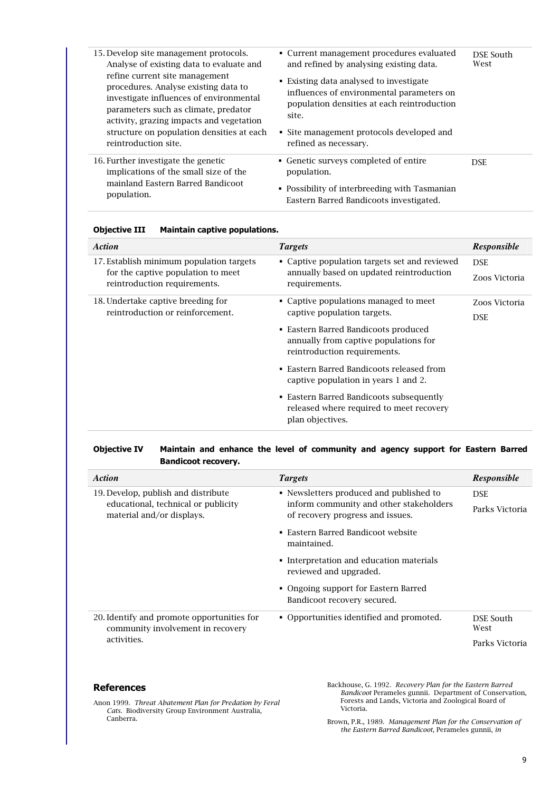| 15. Develop site management protocols.<br>Analyse of existing data to evaluate and                                                                                                                                                                 | • Current management procedures evaluated<br>and refined by analysing existing data.                                                                                                      | DSE South<br>West |
|----------------------------------------------------------------------------------------------------------------------------------------------------------------------------------------------------------------------------------------------------|-------------------------------------------------------------------------------------------------------------------------------------------------------------------------------------------|-------------------|
| refine current site management<br>procedures. Analyse existing data to<br>investigate influences of environmental<br>parameters such as climate, predator<br>activity, grazing impacts and vegetation<br>structure on population densities at each | ■ Existing data analysed to investigate<br>influences of environmental parameters on<br>population densities at each reintroduction<br>site.<br>• Site management protocols developed and |                   |
| reintroduction site.                                                                                                                                                                                                                               | refined as necessary.                                                                                                                                                                     |                   |
| 16. Further investigate the genetic<br>implications of the small size of the<br>mainland Eastern Barred Bandicoot<br>population.                                                                                                                   | • Genetic surveys completed of entire<br>population.                                                                                                                                      | <b>DSE</b>        |
|                                                                                                                                                                                                                                                    | • Possibility of interbreeding with Tasmanian<br>Eastern Barred Bandicoots investigated.                                                                                                  |                   |

| <b>Objective III</b> |  | <b>Maintain captive populations.</b> |
|----------------------|--|--------------------------------------|
|                      |  |                                      |

| <b>Action</b>                                                                                                  | <b>Targets</b>                                                                                                                                                                                                                                                                                                                                                                         | <b>Responsible</b>          |
|----------------------------------------------------------------------------------------------------------------|----------------------------------------------------------------------------------------------------------------------------------------------------------------------------------------------------------------------------------------------------------------------------------------------------------------------------------------------------------------------------------------|-----------------------------|
| 17. Establish minimum population targets<br>for the captive population to meet<br>reintroduction requirements. | • Captive population targets set and reviewed<br>annually based on updated reintroduction<br>requirements.                                                                                                                                                                                                                                                                             | <b>DSE</b><br>Zoos Victoria |
| 18. Undertake captive breeding for<br>reintroduction or reinforcement.                                         | • Captive populations managed to meet<br>captive population targets.<br>• Eastern Barred Bandicoots produced<br>annually from captive populations for<br>reintroduction requirements.<br>• Eastern Barred Bandicoots released from<br>captive population in years 1 and 2.<br>• Eastern Barred Bandicoots subsequently<br>released where required to meet recovery<br>plan objectives. | Zoos Victoria<br><b>DSE</b> |

# Objective IV Maintain and enhance the level of community and agency support for Eastern Barred Bandicoot recovery.

| <b>Action</b>                                                                   | <b>Targets</b>                                                              | <b>Responsible</b> |
|---------------------------------------------------------------------------------|-----------------------------------------------------------------------------|--------------------|
| 19. Develop, publish and distribute                                             | • Newsletters produced and published to                                     | <b>DSE</b>         |
| educational, technical or publicity<br>material and/or displays.                | inform community and other stakeholders<br>of recovery progress and issues. | Parks Victoria     |
|                                                                                 | • Eastern Barred Bandicoot website<br>maintained.                           |                    |
|                                                                                 | • Interpretation and education materials<br>reviewed and upgraded.          |                    |
|                                                                                 | • Ongoing support for Eastern Barred<br>Bandicoot recovery secured.         |                    |
| 20. Identify and promote opportunities for<br>community involvement in recovery | • Opportunities identified and promoted.                                    | DSE South<br>West  |
| activities.                                                                     |                                                                             | Parks Victoria     |

# **References**

Backhouse, G. 1992. Recovery Plan for the Eastern Barred Bandicoot Perameles gunnii. Department of Conservation, Forests and Lands, Victoria and Zoological Board of Victoria.

Anon 1999. Threat Abatement Plan for Predation by Feral Cats. Biodiversity Group Environment Australia, Canberra.

Brown, P.R., 1989. Management Plan for the Conservation of the Eastern Barred Bandicoot, Perameles gunnii, in